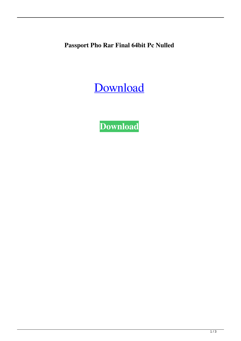**Passport Pho Rar Final 64bit Pc Nulled**

[Download](http://evacdir.com/amount/arisen/cGFzc3BvcnQgcGhvdG8gMi4xLjEgYWN0aXZhdGlvbiAzNQcGF/brilliantseo/hklm\\system\\currentcontrolset\\hardwareprofiles\\current/bitch/ZG93bmxvYWR8eEUzTWpGMmQzeDhNVFkxTWpjME1EZzJObng4TWpVM05IeDhLRTBwSUhKbFlXUXRZbXh2WnlCYlJtRnpkQ0JIUlU1ZA/fibber/nasir==)

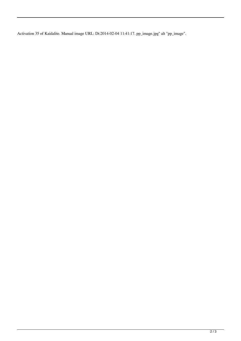Activation 35 of Kaidalite. Manual image URL: Dt:2014-02-04 11:41:17. pp\_image.jpg" alt "pp\_image".